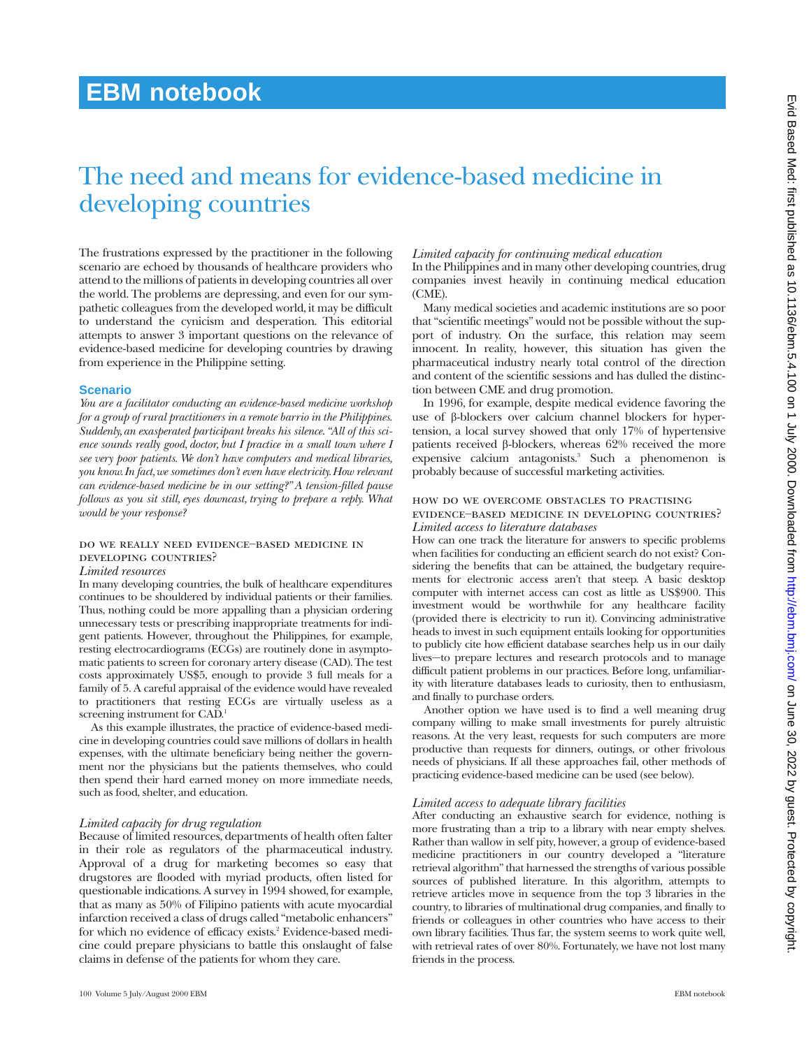## **EBM notebook**

# The need and means for evidence-based medicine in developing countries

The frustrations expressed by the practitioner in the following scenario are echoed by thousands of healthcare providers who attend to the millions of patients in developing countries all over the world. The problems are depressing, and even for our sympathetic colleagues from the developed world, it may be difficult to understand the cynicism and desperation. This editorial attempts to answer 3 important questions on the relevance of evidence-based medicine for developing countries by drawing from experience in the Philippine setting.

#### **Scenario**

*You are a facilitator conducting an evidence-based medicine workshop for a group of rural practitioners in a remote barrio in the Philippines. Suddenly, an exasperated participant breaks his silence. "All of this science sounds really good, doctor, but I practice in a small town where I see very poor patients. We don't have computers and medical libraries, you know. In fact,we sometimes don't even have electricity.How relevant can evidence-based medicine be in our setting?" A tension-filled pause follows as you sit still, eyes downcast, trying to prepare a reply. What would be your response?*

#### do we really need evidence−based medicine in developing countries?

#### *Limited resources*

In many developing countries, the bulk of healthcare expenditures continues to be shouldered by individual patients or their families. Thus, nothing could be more appalling than a physician ordering unnecessary tests or prescribing inappropriate treatments for indigent patients. However, throughout the Philippines, for example, resting electrocardiograms (ECGs) are routinely done in asymptomatic patients to screen for coronary artery disease (CAD). The test costs approximately US\$5, enough to provide 3 full meals for a family of 5. A careful appraisal of the evidence would have revealed to practitioners that resting ECGs are virtually useless as a screening instrument for CAD.<sup>1</sup>

As this example illustrates, the practice of evidence-based medicine in developing countries could save millions of dollars in health expenses, with the ultimate beneficiary being neither the government nor the physicians but the patients themselves, who could then spend their hard earned money on more immediate needs, such as food, shelter, and education.

#### *Limited capacity for drug regulation*

Because of limited resources, departments of health often falter in their role as regulators of the pharmaceutical industry. Approval of a drug for marketing becomes so easy that drugstores are flooded with myriad products, often listed for questionable indications. A survey in 1994 showed, for example, that as many as 50% of Filipino patients with acute myocardial infarction received a class of drugs called "metabolic enhancers" for which no evidence of efficacy exists.<sup>2</sup> Evidence-based medicine could prepare physicians to battle this onslaught of false claims in defense of the patients for whom they care.

#### *Limited capacity for continuing medical education*

In the Philippines and in many other developing countries, drug companies invest heavily in continuing medical education (CME).

Many medical societies and academic institutions are so poor that "scientific meetings" would not be possible without the support of industry. On the surface, this relation may seem innocent. In reality, however, this situation has given the pharmaceutical industry nearly total control of the direction and content of the scientific sessions and has dulled the distinction between CME and drug promotion.

In 1996, for example, despite medical evidence favoring the use of â-blockers over calcium channel blockers for hypertension, a local survey showed that only 17% of hypertensive patients received  $\beta$ -blockers, whereas 62% received the more expensive calcium antagonists.<sup>3</sup> Such a phenomenon is probably because of successful marketing activities.

#### how do we overcome obstacles to practisingevidence−based medicine in developing countries? *Limited access to literature databases*

How can one track the literature for answers to specific problems when facilities for conducting an efficient search do not exist? Considering the benefits that can be attained, the budgetary requirements for electronic access aren't that steep. A basic desktop computer with internet access can cost as little as US\$900. This investment would be worthwhile for any healthcare facility (provided there is electricity to run it). Convincing administrative heads to invest in such equipment entails looking for opportunities to publicly cite how efficient database searches help us in our daily lives—to prepare lectures and research protocols and to manage difficult patient problems in our practices. Before long, unfamiliarity with literature databases leads to curiosity, then to enthusiasm, and finally to purchase orders.

Another option we have used is to find a well meaning drug company willing to make small investments for purely altruistic reasons. At the very least, requests for such computers are more productive than requests for dinners, outings, or other frivolous needs of physicians. If all these approaches fail, other methods of practicing evidence-based medicine can be used (see below).

#### *Limited access to adequate library facilities*

After conducting an exhaustive search for evidence, nothing is more frustrating than a trip to a library with near empty shelves. Rather than wallow in self pity, however, a group of evidence-based medicine practitioners in our country developed a "literature retrieval algorithm" that harnessed the strengths of various possible sources of published literature. In this algorithm, attempts to retrieve articles move in sequence from the top 3 libraries in the country, to libraries of multinational drug companies, and finally to friends or colleagues in other countries who have access to their own library facilities. Thus far, the system seems to work quite well, with retrieval rates of over 80%. Fortunately, we have not lost many friends in the process.